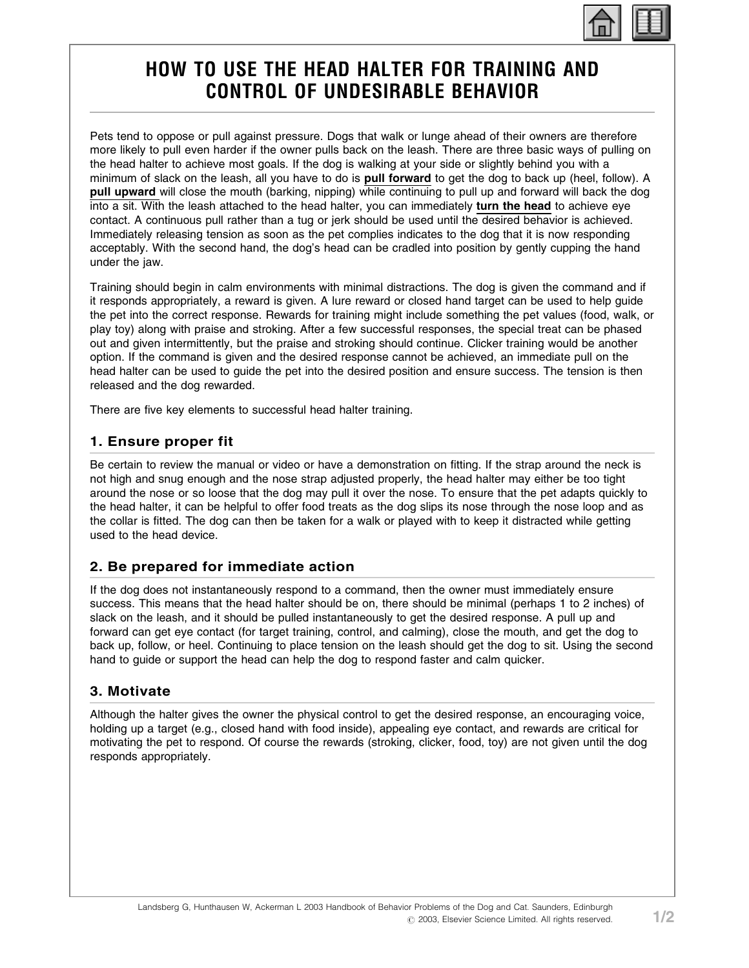

# HOW TO USE THE HEAD HALTER FOR TRAINING AND CONTROL OF UNDESIRABLE BEHAVIOR

Pets tend to oppose or pull against pressure. Dogs that walk or lunge ahead of their owners are therefore more likely to pull even harder if the owner pulls back on the leash. There are three basic ways of pulling on the head halter to achieve most goals. If the dog is walking at your side or slightly behind you with a minimum of slack on the leash, all you have to do is pull forward to get the dog to back up (heel, follow). A pull upward will close the mouth (barking, nipping) while continuing to pull up and forward will back the dog into a sit. With the leash attached to the head halter, you can immediately turn the head to achieve eye contact. A continuous pull rather than a tug or jerk should be used until the desired behavior is achieved. Immediately releasing tension as soon as the pet complies indicates to the dog that it is now responding acceptably. With the second hand, the dog's head can be cradled into position by gently cupping the hand under the jaw.

Training should begin in calm environments with minimal distractions. The dog is given the command and if it responds appropriately, a reward is given. A lure reward or closed hand target can be used to help guide the pet into the correct response. Rewards for training might include something the pet values (food, walk, or play toy) along with praise and stroking. After a few successful responses, the special treat can be phased out and given intermittently, but the praise and stroking should continue. Clicker training would be another option. If the command is given and the desired response cannot be achieved, an immediate pull on the head halter can be used to guide the pet into the desired position and ensure success. The tension is then released and the dog rewarded.

There are five key elements to successful head halter training.

## 1. Ensure proper fit

Be certain to review the manual or video or have a demonstration on fitting. If the strap around the neck is not high and snug enough and the nose strap adjusted properly, the head halter may either be too tight around the nose or so loose that the dog may pull it over the nose. To ensure that the pet adapts quickly to the head halter, it can be helpful to offer food treats as the dog slips its nose through the nose loop and as the collar is fitted. The dog can then be taken for a walk or played with to keep it distracted while getting used to the head device.

## 2. Be prepared for immediate action

If the dog does not instantaneously respond to a command, then the owner must immediately ensure success. This means that the head halter should be on, there should be minimal (perhaps 1 to 2 inches) of slack on the leash, and it should be pulled instantaneously to get the desired response. A pull up and forward can get eye contact (for target training, control, and calming), close the mouth, and get the dog to back up, follow, or heel. Continuing to place tension on the leash should get the dog to sit. Using the second hand to guide or support the head can help the dog to respond faster and calm quicker.

#### 3. Motivate

Although the halter gives the owner the physical control to get the desired response, an encouraging voice, holding up a target (e.g., closed hand with food inside), appealing eye contact, and rewards are critical for motivating the pet to respond. Of course the rewards (stroking, clicker, food, toy) are not given until the dog responds appropriately.